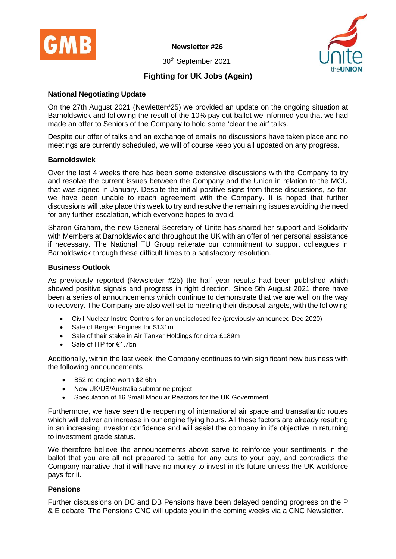

**Newsletter #26**



30th September 2021

# **Fighting for UK Jobs (Again)**

#### **National Negotiating Update**

On the 27th August 2021 (Newletter#25) we provided an update on the ongoing situation at Barnoldswick and following the result of the 10% pay cut ballot we informed you that we had made an offer to Seniors of the Company to hold some 'clear the air' talks.

Despite our offer of talks and an exchange of emails no discussions have taken place and no meetings are currently scheduled, we will of course keep you all updated on any progress.

#### **Barnoldswick**

Over the last 4 weeks there has been some extensive discussions with the Company to try and resolve the current issues between the Company and the Union in relation to the MOU that was signed in January. Despite the initial positive signs from these discussions, so far, we have been unable to reach agreement with the Company. It is hoped that further discussions will take place this week to try and resolve the remaining issues avoiding the need for any further escalation, which everyone hopes to avoid.

Sharon Graham, the new General Secretary of Unite has shared her support and Solidarity with Members at Barnoldswick and throughout the UK with an offer of her personal assistance if necessary. The National TU Group reiterate our commitment to support colleagues in Barnoldswick through these difficult times to a satisfactory resolution.

#### **Business Outlook**

As previously reported (Newsletter #25) the half year results had been published which showed positive signals and progress in right direction. Since 5th August 2021 there have been a series of announcements which continue to demonstrate that we are well on the way to recovery. The Company are also well set to meeting their disposal targets, with the following

- Civil Nuclear Instro Controls for an undisclosed fee (previously announced Dec 2020)
- Sale of Bergen Engines for \$131m
- Sale of their stake in Air Tanker Holdings for circa £189m
- Sale of ITP for €1.7bn

Additionally, within the last week, the Company continues to win significant new business with the following announcements

- B52 re-engine worth \$2.6bn
- New UK/US/Australia submarine project
- Speculation of 16 Small Modular Reactors for the UK Government

Furthermore, we have seen the reopening of international air space and transatlantic routes which will deliver an increase in our engine flying hours. All these factors are already resulting in an increasing investor confidence and will assist the company in it's objective in returning to investment grade status.

We therefore believe the announcements above serve to reinforce your sentiments in the ballot that you are all not prepared to settle for any cuts to your pay, and contradicts the Company narrative that it will have no money to invest in it's future unless the UK workforce pays for it.

### **Pensions**

Further discussions on DC and DB Pensions have been delayed pending progress on the P & E debate, The Pensions CNC will update you in the coming weeks via a CNC Newsletter.